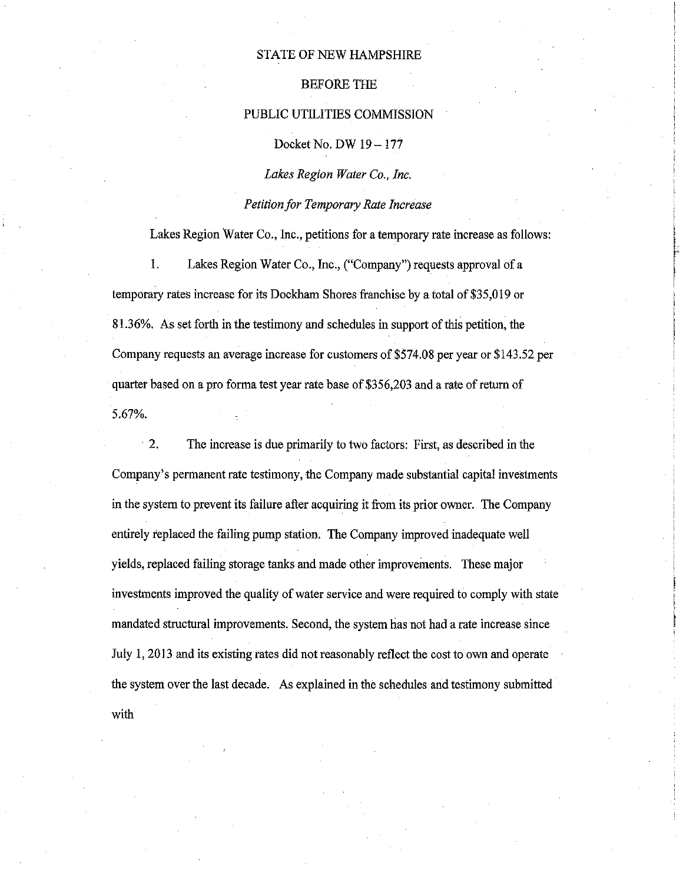### STATE OF NEW HAMPSHIRE

### BEFORE THE

#### PUBLIC UTILITIES COMMISSION

Docket No. DW 19- 177

*Lakes Region Water Co., Inc.* 

*Petition for Temporary Rate Increase* 

Lakes Region Water Co., Inc., petitions for a temporary rate increase as follows:

1. Lakes Region Water Co., Inc., ("Company"}requests approval of a temporary rates increase for its Dockham Shores franchise by a total of \$35,019 or 81.36%. As set forth in the testimony and schedules in support of this petition, the Company requests an average increase for customers of\$574.08 per year or \$143.52 per quarter based on a pro forma test year rate base of \$356,203 and a rate of return of 5.67%.

2. The increase is due primarily to two factors: First, as described in the Company's permanent rate testimony, the Company made substantial capital investments in the system to prevent its failure after acquiring it from its prior owner. The Company entirely replaced the failing pump station. The Company improved inadequate well yields, replaced failing storage tanks and made other improvements. These major investments improved the quality of water service and were required to comply with state mandated structural improvements. Second, the system has not had a rate increase since July 1, 2013 and its existing rates did not reasonably reflect the cost to own and operate the system over the last decade. As explained in the schedules and testimony submitted with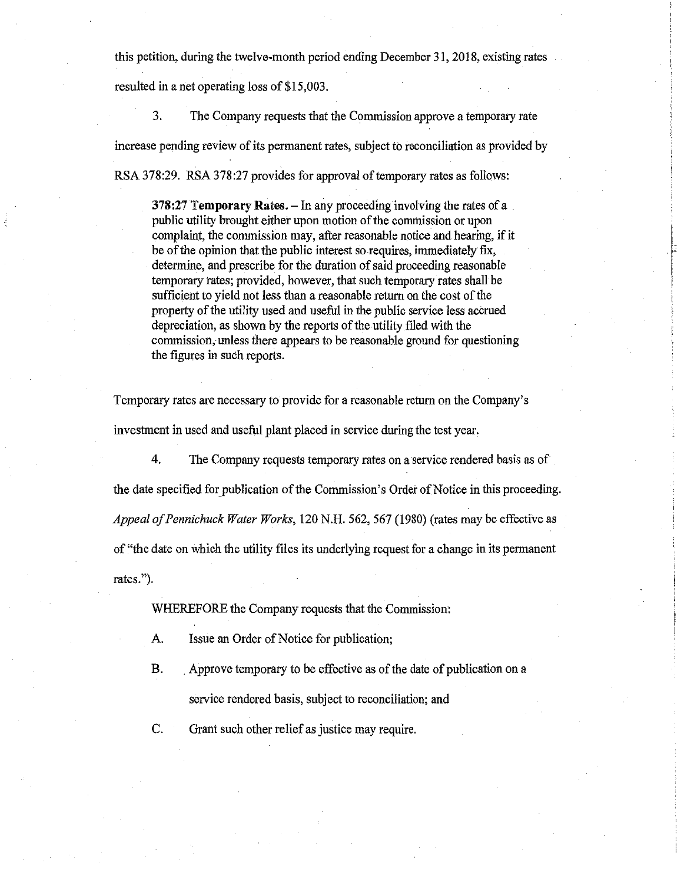this petition, during the twelve-month period ending December 31, 2018, existing rates resulted in a net operating loss of \$15,003.

3. The Company requests that the Commission approve a temporary rate increase pending review of its permanent rates, subject to reconciliation as provided by RSA 378:29. RSA 378:27 provides for approval of temporary rates as follows:

378:27 Temporary Rates.  $-$  In any proceeding involving the rates of a public utility brought either upon motion of the commission or upon complaint, the commission may, after reasonable notice and hearing, if it be of the opinion that the public interest so requires, immediately fix, determine, and prescribe for the duration of said proceeding reasonable temporary tates; provided, however, that such temporary rates shall be sufficient to yield not less than a reasonable return on the cost of the property of the utility used and useful in the public service less accrued depreciation, as shown by the reports of the utility filed with the commission, unless there appears to be reasonable ground for questioning the figures in such reports.

Temporary rates are necessary to provide for a reasonable return on the Company's investment in used and useful plant placed in service during the test year.

4. The Company requests temporary rates on a service rendered basis as of the date specified for publication of the Commission's Order of Notice in this proceeding. *Appeal of Pennichuck Water Works,* 120 N.H. 562, 567 (1980) (rates may be effective as of "the date on which the utility files its underlying request for a change in its permanent rates.").

WHEREFORE the Company requests that the Commission:

A. Issue an Order of Notice for publication;

B. . Approve temporary to be effective as of the date of publication on a service rendered basis, subject to reconciliation; and

C. Grant such other relief as justice may require.